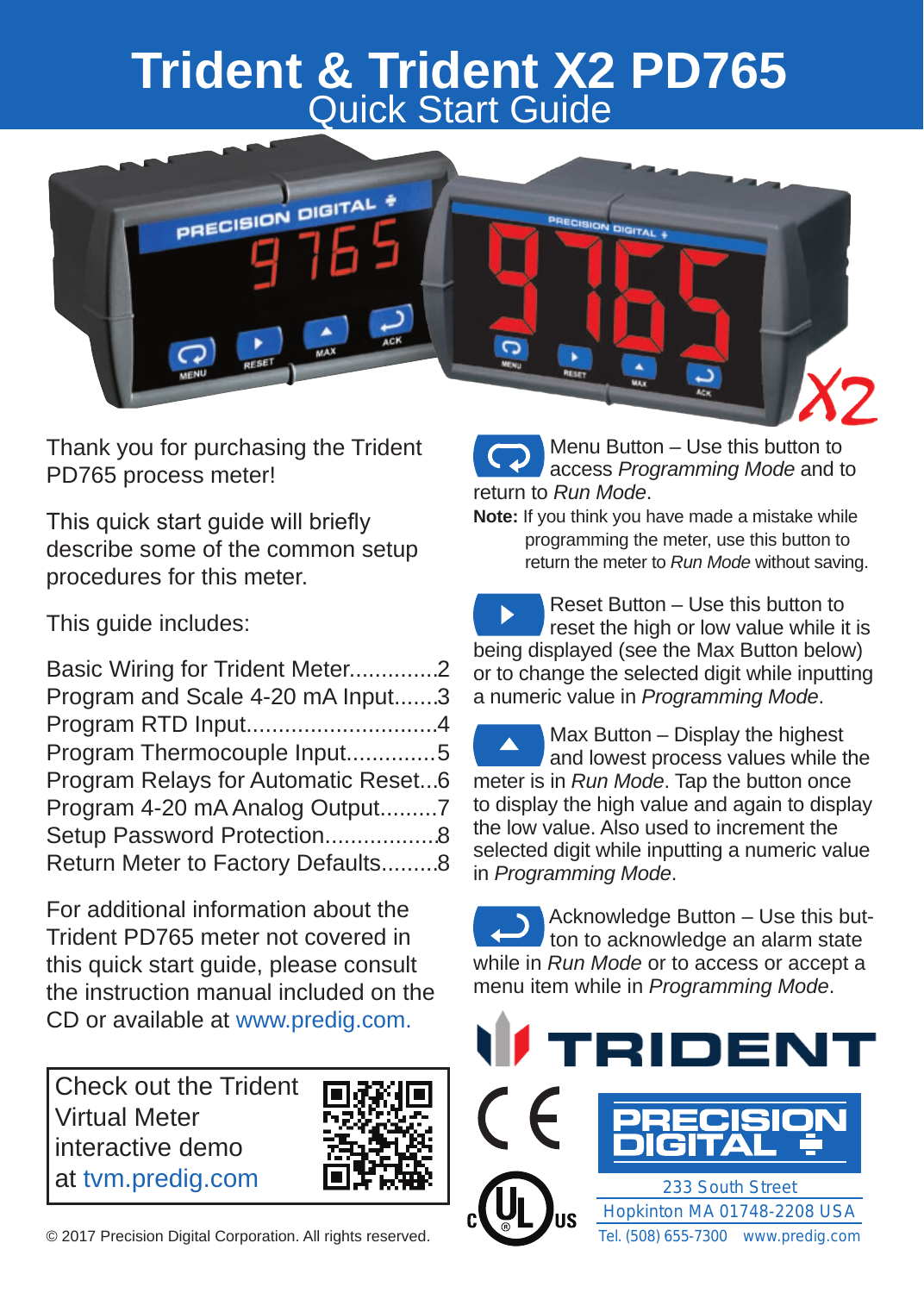## **Trident & Trident X2 PD765** Quick Start Guide



Thank you for purchasing the Trident PD765 process meter!

This quick start guide will briefly describe some of the common setup procedures for this meter.

This guide includes:

| Basic Wiring for Trident Meter2     |  |
|-------------------------------------|--|
| Program and Scale 4-20 mA Input3    |  |
| Program RTD Input4                  |  |
| Program Thermocouple Input5         |  |
| Program Relays for Automatic Reset6 |  |
| Program 4-20 mA Analog Output7      |  |
| Setup Password Protection8          |  |
| Return Meter to Factory Defaults8   |  |

For additional information about the Trident PD765 meter not covered in this quick start guide, please consult the instruction manual included on the CD or available at www.predig.com.

Check out the Trident Virtual Meter interactive demo at tvm.predig.com



© 2017 Precision Digital Corporation. All rights reserved.

 Menu Button – Use this button to access *Programming Mode* and to return to *Run Mode*.

**Note:** If you think you have made a mistake while programming the meter, use this button to return the meter to *Run Mode* without saving.

 Reset Button – Use this button to reset the high or low value while it is being displayed (see the Max Button below) or to change the selected digit while inputting a numeric value in *Programming Mode*.

 Max Button – Display the highest and lowest process values while the meter is in *Run Mode*. Tap the button once to display the high value and again to display the low value. Also used to increment the selected digit while inputting a numeric value in *Programming Mode*.

 Acknowledge Button – Use this but ton to acknowledge an alarm state while in *Run Mode* or to access or accept a menu item while in *Programming Mode*.

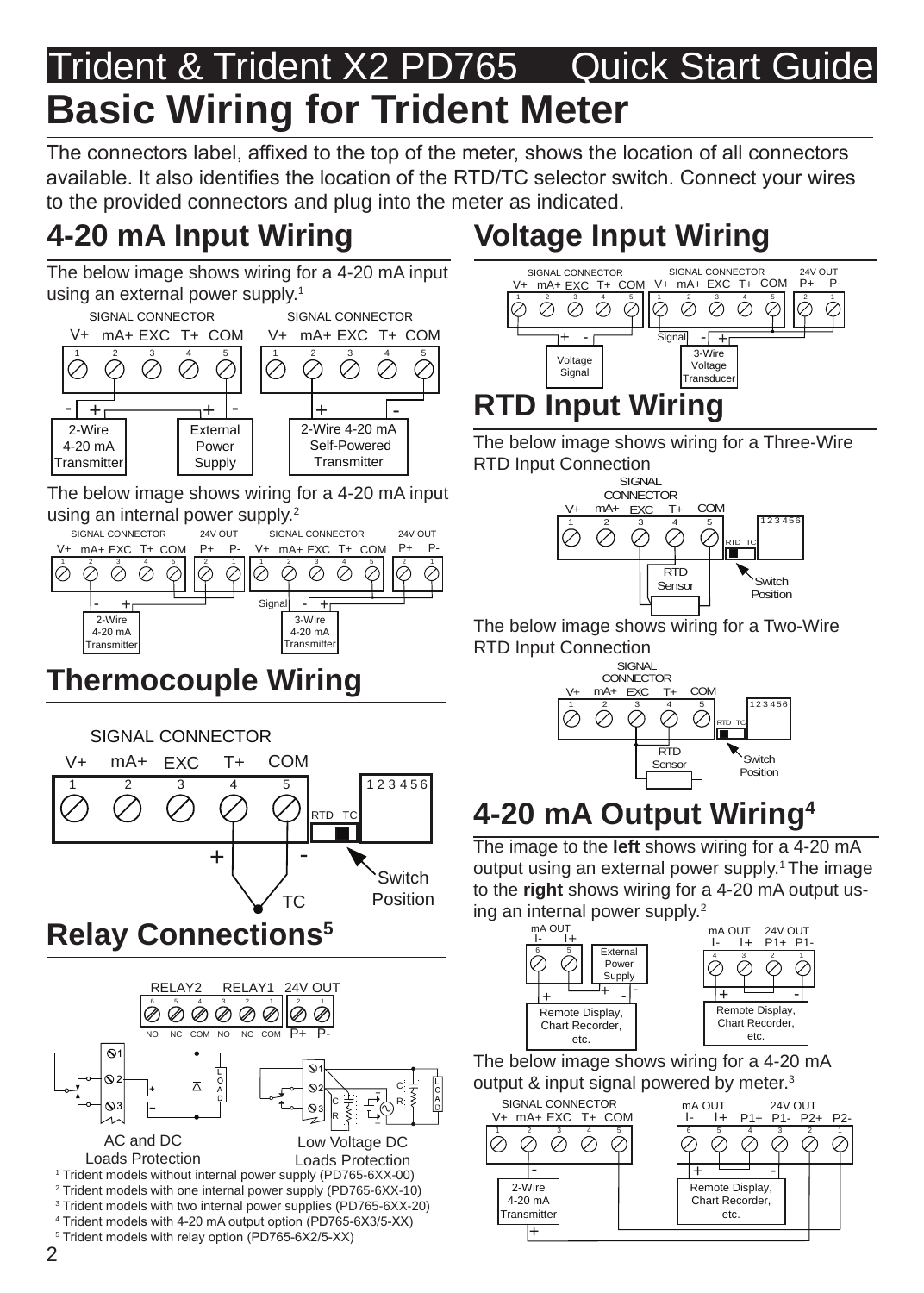## Trident & Trident X2 PD765 Quick Start Guide **Basic Wiring for Trident Meter**

The connectors label, affixed to the top of the meter, shows the location of all connectors available. It also identifies the location of the RTD/TC selector switch. Connect your wires to the provided connectors and plug into the meter as indicated.

## **4-20 mA Input Wiring**

The below image shows wiring for a 4-20 mA input using an external power supply.<sup>1</sup>



The below image shows wiring for a 4-20 mA input using an internal power supply.<sup>2</sup>



## **Thermocouple Wiring**



## **Relay Connections5**



## **Voltage Input Wiring**



The below image shows wiring for a Three-Wire RTD Input Connection



The below image shows wiring for a Two-Wire RTD Input Connection



## **4-20 mA Output Wiring4**

The image to the **left** shows wiring for a 4-20 mA output using an external power supply.<sup>1</sup> The image to the **right** shows wiring for a 4-20 mA output using an internal power supply.<sup>2</sup>



The below image shows wiring for a 4-20 mA output & input signal powered by meter.<sup>3</sup>

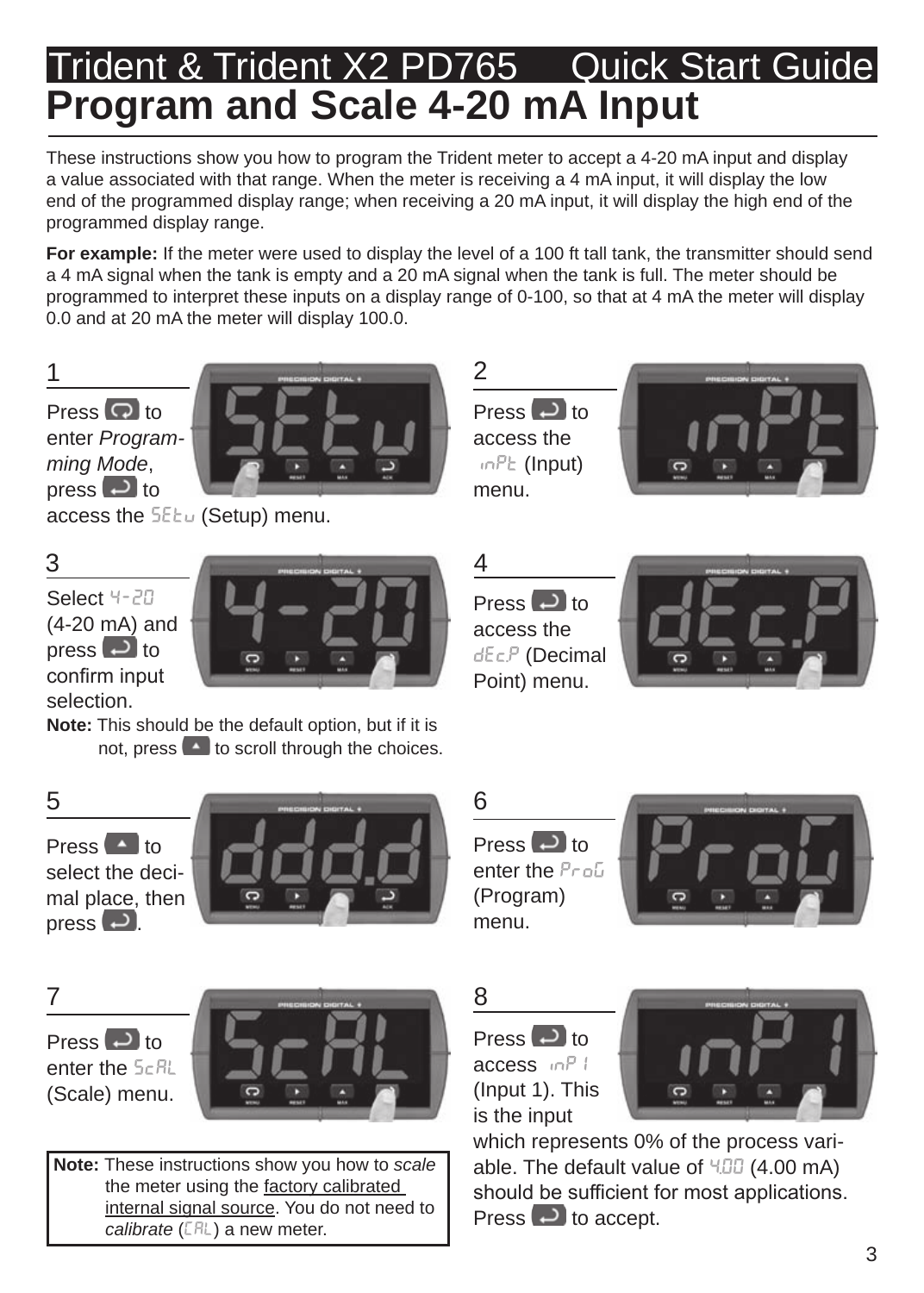## Trident & Trident X2 PD765 Quick Start Guide **Program and Scale 4-20 mA Input**

These instructions show you how to program the Trident meter to accept a 4-20 mA input and display a value associated with that range. When the meter is receiving a 4 mA input, it will display the low end of the programmed display range; when receiving a 20 mA input, it will display the high end of the programmed display range.

**For example:** If the meter were used to display the level of a 100 ft tall tank, the transmitter should send a 4 mA signal when the tank is empty and a 20 mA signal when the tank is full. The meter should be programmed to interpret these inputs on a display range of 0-100, so that at 4 mA the meter will display 0.0 and at 20 mA the meter will display 100.0.



Press  $\bigcirc$  to enter *Programming Mode*, press  $\Box$  to



access the **SEEu** (Setup) menu.

Select 4-20 (4-20 mA) and press  $\Box$  to confirm input selection.



**Note:** This should be the default option, but if it is not, press  $\left( \begin{array}{c} 1 \\ 1 \end{array} \right)$  to scroll through the choices. Press  $\Box$  to access the  $inPE$  (Input) menu.





Press  $\Box$  to access the dEc.P (Decimal Point) menu.



Press **A** to select the decimal place, then press  $\left( -\right)$ .



Press  $\Box$  to enter the *Profi* (Program) menu.



Press  $\Box$  to enter the  $5cR$ (Scale) menu.



**Note:** These instructions show you how to *scale* the meter using the factory calibrated internal signal source. You do not need to *calibrate* (CAL) a new meter.

Press  $\Box$  to access inP1 (Input 1). This is the input



which represents 0% of the process variable. The default value of  $4.00 \text{ mA}$ ) should be sufficient for most applications. Press  $\Box$  to accept.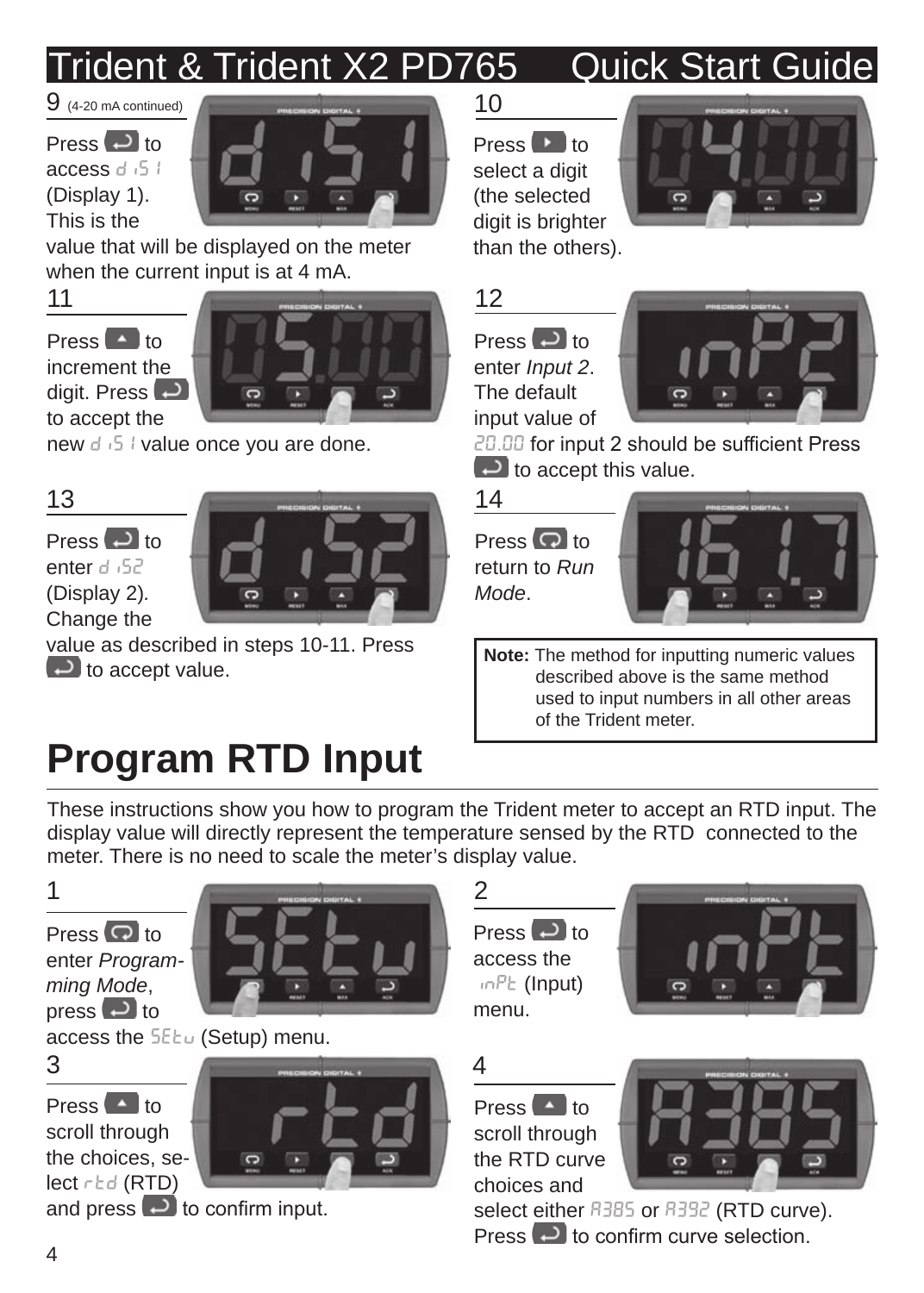# Trident & Trident X2 PD765 Quick Start Guide

 $Press$  to access diS1 (Display 1). This is the



value that will be displayed on the meter when the current input is at 4 mA.

Press  $\left( \begin{array}{c} 1 \\ 1 \end{array} \right)$  to increment the digit. Press  $\Box$ 

to accept the



new diS1 value once you are done.

## 13

 $Press$  to enter d<sub>152</sub> (Display 2)*.*  Change the



value as described in steps 10-11. Press  $\Box$  to accept value.

# **Program RTD Input**

Press  $\mathbf{P}$  to select a digit (the selected digit is brighter than the others).







20.00 for input 2 should be sufficient Press  $\Box$  to accept this value.

## 14

Press **o**to return to *Run Mode*.



**Note:** The method for inputting numeric values described above is the same method used to input numbers in all other areas of the Trident meter.

These instructions show you how to program the Trident meter to accept an RTD input. The display value will directly represent the temperature sensed by the RTD connected to the meter. There is no need to scale the meter's display value.



Press<sup>Ot</sup> to enter *Programming Mode*, press  $\Box$  to



access the 5EEu (Setup) menu.



Press  $\blacksquare$  to scroll through the choices, select rtd (RTD) and press  $\Theta$  to confirm input.



Press  $\left( \begin{array}{c} 1 \\ 1 \end{array} \right)$  to scroll through the RTD curve choices and

Press  $\Box$  to access the  $inPE$  (Input) menu.



select either **R385** or **R392** (RTD curve). Press **to confirm curve selection**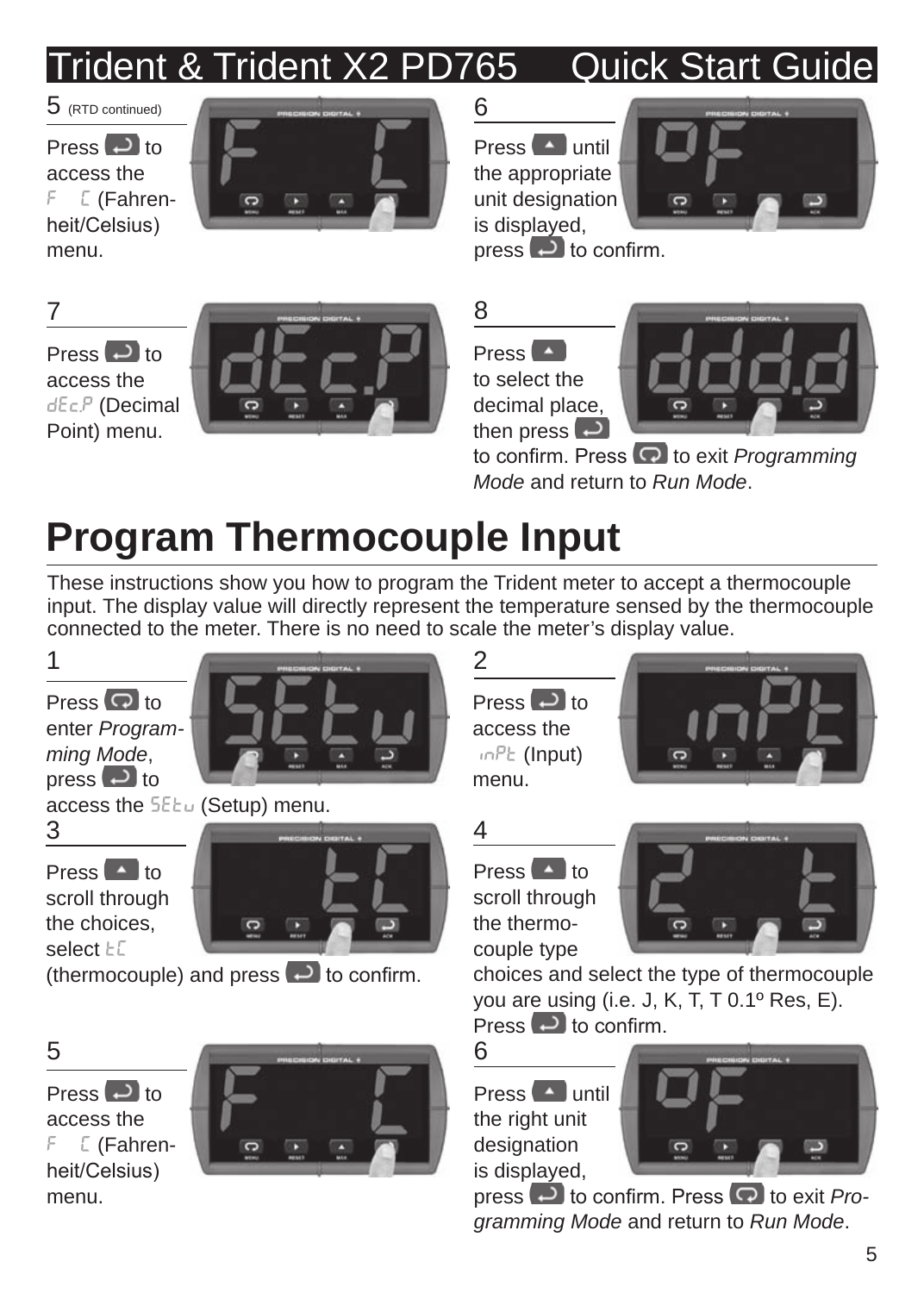# Trident & Trident X2 PD765 Quick Start Guide

Press  $\Box$  to access the  $F E$  (Fahrenheit/Celsius) menu.



 $Press$  until the appropriate unit designation is displayed,



press  $\Box$  to confirm.

Press  $\left( \begin{array}{c} 1 \\ -1 \end{array} \right)$  to access the dEc.P (Decimal Point) menu.







to confirm. Press<sup>(</sup>a) to exit *Programming Mode* and return to *Run Mode*.

# **Program Thermocouple Input**

These instructions show you how to program the Trident meter to accept a thermocouple input. The display value will directly represent the temperature sensed by the thermocouple connected to the meter. There is no need to scale the meter's display value.



the choices, select  $\vdash\Box$ 



(thermocouple) and press  $\overline{\bullet}$  to confirm.

Press **D** to access the F C (Fahrenheit/Celsius) menu.







Press  $\blacksquare$  to scroll through the thermocouple type



choices and select the type of thermocouple you are using (i.e. J, K, T, T 0.1º Res, E).  $P$ ress  $\Box$  to confirm.

 $Press$   $\sim$  until the right unit designation is displayed,



press  $\Theta$  to confirm. Press  $\Omega$  to exit *Programming Mode* and return to *Run Mode*.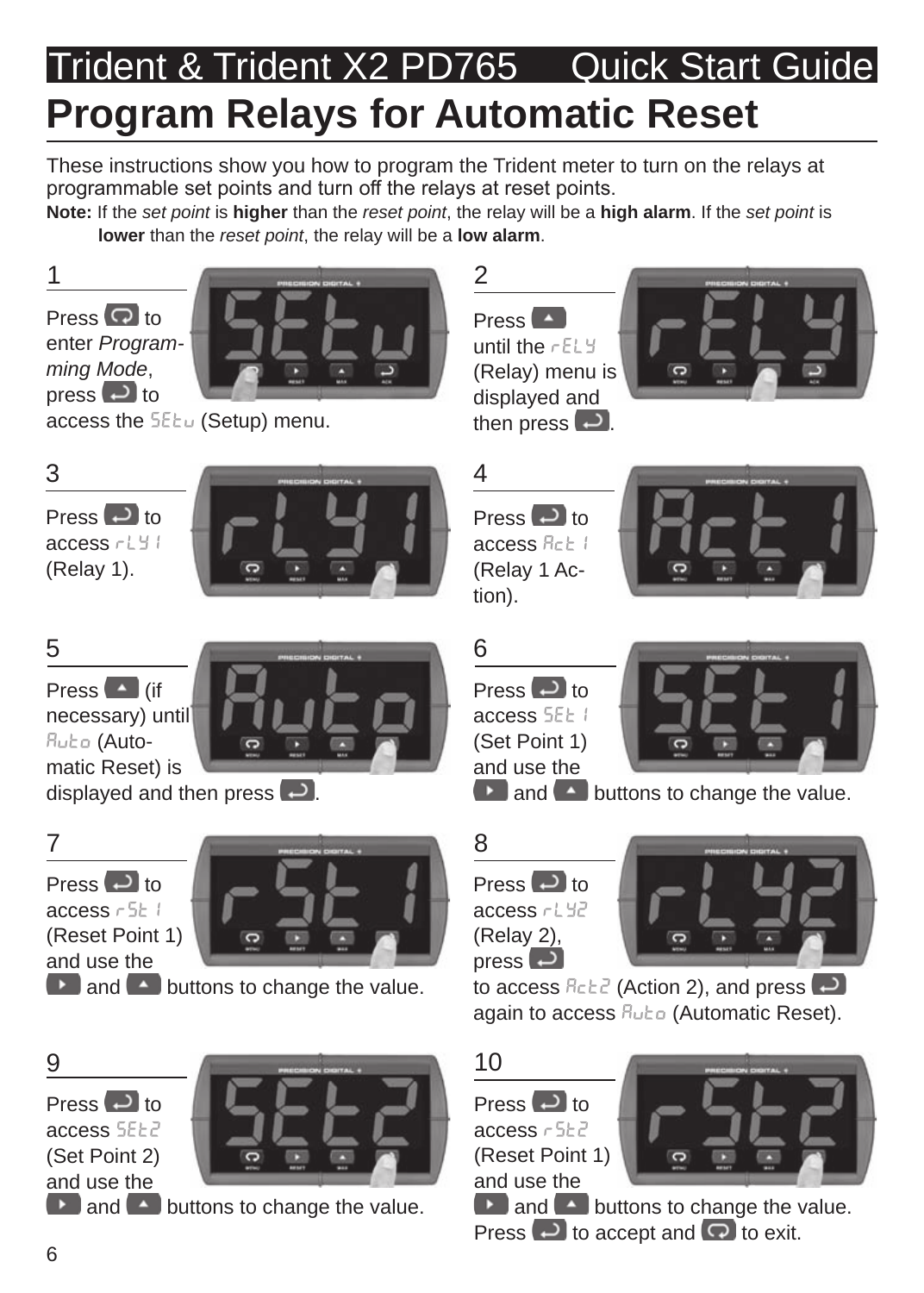# Trident & Trident X2 PD765 Quick Start Guide **Program Relays for Automatic Reset**

These instructions show you how to program the Trident meter to turn on the relays at programmable set points and turn off the relays at reset points.

**Note:** If the *set point* is **higher** than the *reset point*, the relay will be a **high alarm**. If the *set point* is **lower** than the *reset point*, the relay will be a **low alarm**.

Press  $\overline{Q}$  to enter *Programming Mode*, press  $\Box$  to



access the SEtu (Setup) menu.



Press  $\Box$  to access  $rH$ <sup>4</sup> (Relay 1).





Press  $\blacksquare$  (if necessary) until Ruto (Automatic Reset) is

displayed and then press  $\Box$ 



Press  $\Box$  to access  $r511$ (Reset Point 1) and use the



and **buttons to change the value.** 

Press  $\Box$  to access SEE2 (Set Point 2) and use the



 $\Box$  and  $\Box$  buttons to change the value.







tion).



Press  $\Box$  to access  $55H1$ (Set Point 1) and use the



**and**  $\bullet$  buttons to change the value.

8

Press  $\Box$  to access  $rH^2$ (Relay 2), press  $\Box$ 



to access  $B \in \mathbb{R}^2$  (Action 2), and press  $\Box$ again to access Rubo (Automatic Reset).

Press  $\Box$  to

access  $r5H^2$ (Reset Point 1) and use the



 $\Box$  and  $\Box$  buttons to change the value. Press  $\Theta$  to accept and  $\Omega$  to exit.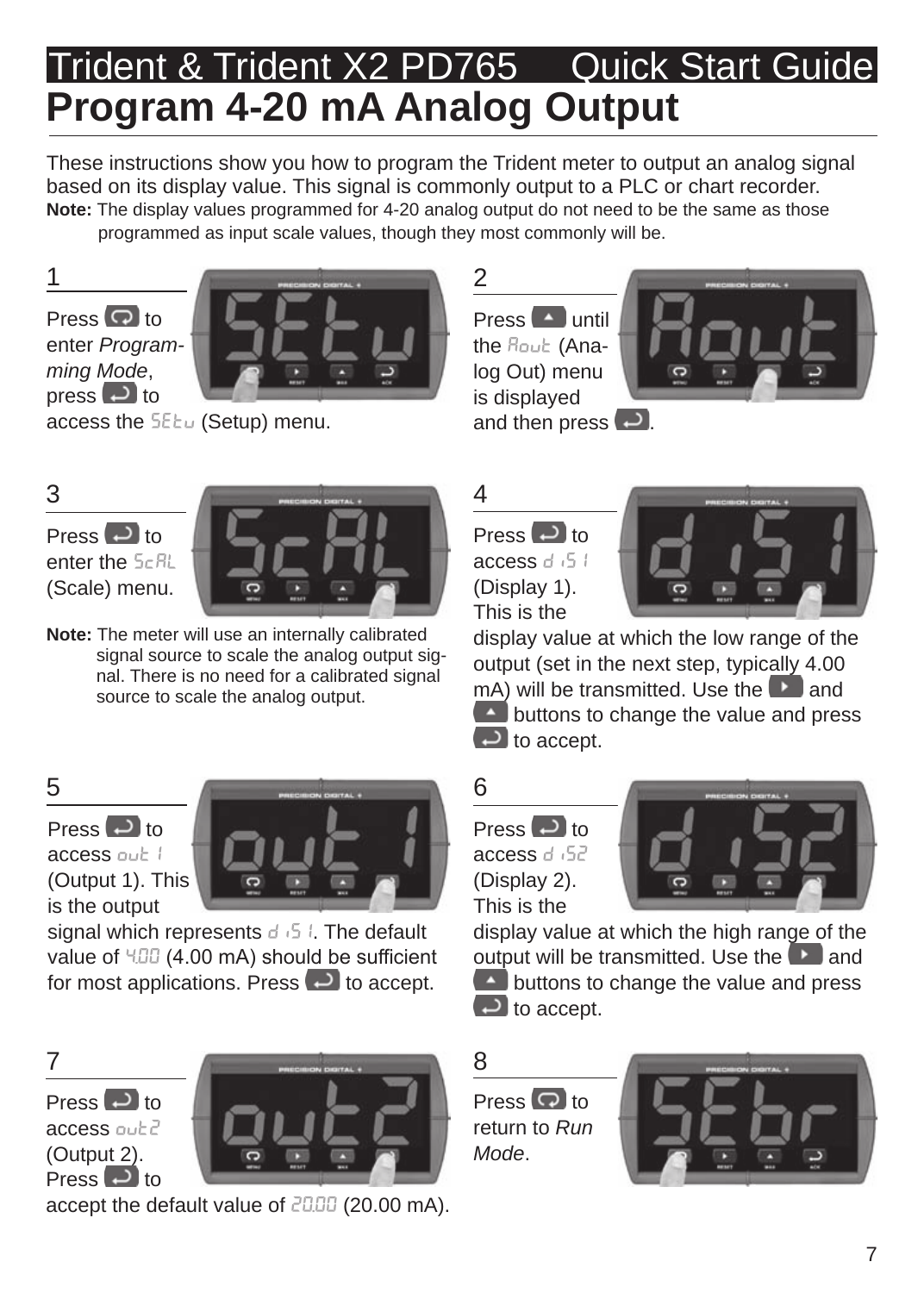## Trident & Trident X2 PD765 Quick Start Guide **Program 4-20 mA Analog Output**

These instructions show you how to program the Trident meter to output an analog signal based on its display value. This signal is commonly output to a PLC or chart recorder. **Note:** The display values programmed for 4-20 analog output do not need to be the same as those programmed as input scale values, though they most commonly will be.

Press  $\bigcirc$  to enter *Programming Mode*, press  $\overline{f}$  to



access the **SEEu** (Setup) menu.

 $Press$   $\sim$  until the Rout (Analog Out) menu is displayed and then press  $\Box$ 



Press **D** to enter the  $5c$ <sup>RL</sup> (Scale) menu.



**Note:** The meter will use an internally calibrated signal source to scale the analog output signal. There is no need for a calibrated signal source to scale the analog output.

Press  $\Box$  to access out 1 (Output 1). This is the output



signal which represents  $d_1$  5  $l$ . The default value of  $4.00$  mA) should be sufficient for most applications. Press  $\Box$  to accept.

Press **D** to access out? (Output 2). Press  $\Box$  to



accept the default value of 20.00 (20.00 mA).





display value at which the low range of the output (set in the next step, typically 4.00 mA) will be transmitted. Use the **a** and  $\triangle$  buttons to change the value and press  $\Box$  to accept.

Press  $\Box$  to access d<sub>152</sub> (Display 2). This is the



display value at which the high range of the output will be transmitted. Use the  $\Box$  and buttons to change the value and press  $\Box$  to accept.

Press  $\overline{Q}$  to return to *Run Mode*.